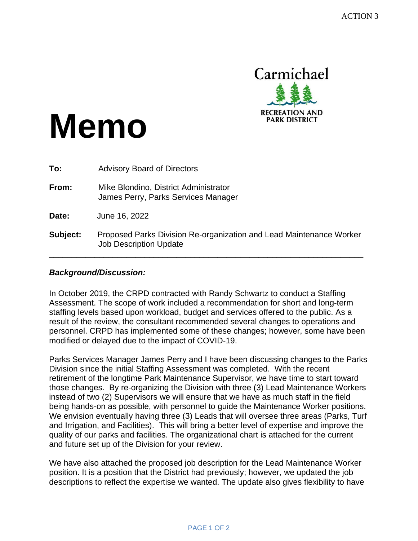

# **Memo**

| To:      | <b>Advisory Board of Directors</b>                                                                   |
|----------|------------------------------------------------------------------------------------------------------|
| From:    | Mike Blondino, District Administrator<br>James Perry, Parks Services Manager                         |
| Date:    | June 16, 2022                                                                                        |
| Subject: | Proposed Parks Division Re-organization and Lead Maintenance Worker<br><b>Job Description Update</b> |

# *Background/Discussion:*

In October 2019, the CRPD contracted with Randy Schwartz to conduct a Staffing Assessment. The scope of work included a recommendation for short and long-term staffing levels based upon workload, budget and services offered to the public. As a result of the review, the consultant recommended several changes to operations and personnel. CRPD has implemented some of these changes; however, some have been modified or delayed due to the impact of COVID-19.

Parks Services Manager James Perry and I have been discussing changes to the Parks Division since the initial Staffing Assessment was completed. With the recent retirement of the longtime Park Maintenance Supervisor, we have time to start toward those changes. By re-organizing the Division with three (3) Lead Maintenance Workers instead of two (2) Supervisors we will ensure that we have as much staff in the field being hands-on as possible, with personnel to guide the Maintenance Worker positions. We envision eventually having three (3) Leads that will oversee three areas (Parks, Turf and Irrigation, and Facilities). This will bring a better level of expertise and improve the quality of our parks and facilities. The organizational chart is attached for the current and future set up of the Division for your review.

We have also attached the proposed job description for the Lead Maintenance Worker position. It is a position that the District had previously; however, we updated the job descriptions to reflect the expertise we wanted. The update also gives flexibility to have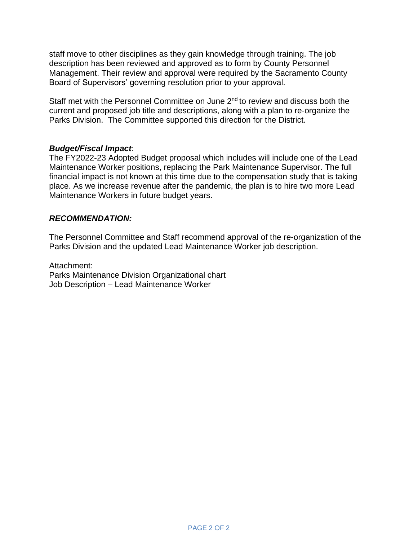staff move to other disciplines as they gain knowledge through training. The job description has been reviewed and approved as to form by County Personnel Management. Their review and approval were required by the Sacramento County Board of Supervisors' governing resolution prior to your approval.

Staff met with the Personnel Committee on June 2<sup>nd</sup> to review and discuss both the current and proposed job title and descriptions, along with a plan to re-organize the Parks Division. The Committee supported this direction for the District.

# *Budget/Fiscal Impact*:

The FY2022-23 Adopted Budget proposal which includes will include one of the Lead Maintenance Worker positions, replacing the Park Maintenance Supervisor. The full financial impact is not known at this time due to the compensation study that is taking place. As we increase revenue after the pandemic, the plan is to hire two more Lead Maintenance Workers in future budget years.

# *RECOMMENDATION:*

The Personnel Committee and Staff recommend approval of the re-organization of the Parks Division and the updated Lead Maintenance Worker job description.

Attachment: Parks Maintenance Division Organizational chart Job Description – Lead Maintenance Worker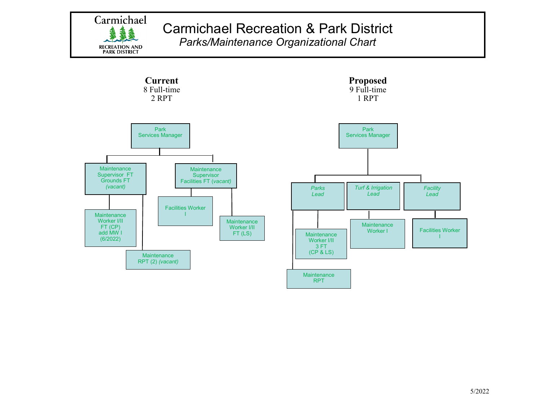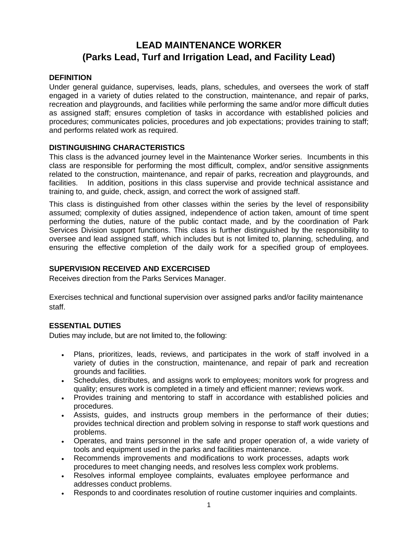# **LEAD MAINTENANCE WORKER (Parks Lead, Turf and Irrigation Lead, and Facility Lead)**

# **DEFINITION**

Under general guidance, supervises, leads, plans, schedules, and oversees the work of staff engaged in a variety of duties related to the construction, maintenance, and repair of parks, recreation and playgrounds, and facilities while performing the same and/or more difficult duties as assigned staff; ensures completion of tasks in accordance with established policies and procedures; communicates policies, procedures and job expectations; provides training to staff; and performs related work as required.

# **DISTINGUISHING CHARACTERISTICS**

This class is the advanced journey level in the Maintenance Worker series. Incumbents in this class are responsible for performing the most difficult, complex, and/or sensitive assignments related to the construction, maintenance, and repair of parks, recreation and playgrounds, and facilities. In addition, positions in this class supervise and provide technical assistance and training to, and guide, check, assign, and correct the work of assigned staff.

This class is distinguished from other classes within the series by the level of responsibility assumed; complexity of duties assigned, independence of action taken, amount of time spent performing the duties, nature of the public contact made, and by the coordination of Park Services Division support functions. This class is further distinguished by the responsibility to oversee and lead assigned staff, which includes but is not limited to, planning, scheduling, and ensuring the effective completion of the daily work for a specified group of employees.

# **SUPERVISION RECEIVED AND EXCERCISED**

Receives direction from the Parks Services Manager.

Exercises technical and functional supervision over assigned parks and/or facility maintenance staff.

# **ESSENTIAL DUTIES**

Duties may include, but are not limited to, the following:

- Plans, prioritizes, leads, reviews, and participates in the work of staff involved in a variety of duties in the construction, maintenance, and repair of park and recreation grounds and facilities.
- Schedules, distributes, and assigns work to employees; monitors work for progress and quality; ensures work is completed in a timely and efficient manner; reviews work.
- Provides training and mentoring to staff in accordance with established policies and procedures.
- Assists, guides, and instructs group members in the performance of their duties; provides technical direction and problem solving in response to staff work questions and problems.
- Operates, and trains personnel in the safe and proper operation of, a wide variety of tools and equipment used in the parks and facilities maintenance.
- Recommends improvements and modifications to work processes, adapts work procedures to meet changing needs, and resolves less complex work problems.
- Resolves informal employee complaints, evaluates employee performance and addresses conduct problems.
- Responds to and coordinates resolution of routine customer inquiries and complaints.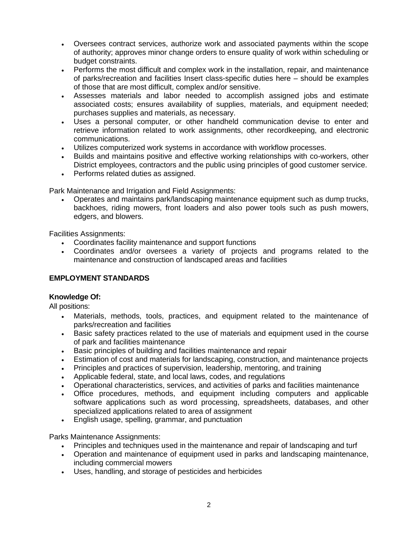- Oversees contract services, authorize work and associated payments within the scope of authority; approves minor change orders to ensure quality of work within scheduling or budget constraints.
- Performs the most difficult and complex work in the installation, repair, and maintenance of parks/recreation and facilities Insert class-specific duties here – should be examples of those that are most difficult, complex and/or sensitive.
- Assesses materials and labor needed to accomplish assigned jobs and estimate associated costs; ensures availability of supplies, materials, and equipment needed; purchases supplies and materials, as necessary.
- Uses a personal computer, or other handheld communication devise to enter and retrieve information related to work assignments, other recordkeeping, and electronic communications.
- Utilizes computerized work systems in accordance with workflow processes.
- Builds and maintains positive and effective working relationships with co-workers, other District employees, contractors and the public using principles of good customer service.
- Performs related duties as assigned.

Park Maintenance and Irrigation and Field Assignments:

• Operates and maintains park/landscaping maintenance equipment such as dump trucks, backhoes, riding mowers, front loaders and also power tools such as push mowers, edgers, and blowers.

Facilities Assignments:

- Coordinates facility maintenance and support functions
- Coordinates and/or oversees a variety of projects and programs related to the maintenance and construction of landscaped areas and facilities

### **EMPLOYMENT STANDARDS**

### **Knowledge Of:**

All positions:

- Materials, methods, tools, practices, and equipment related to the maintenance of parks/recreation and facilities
- Basic safety practices related to the use of materials and equipment used in the course of park and facilities maintenance
- Basic principles of building and facilities maintenance and repair
- Estimation of cost and materials for landscaping, construction, and maintenance projects
- Principles and practices of supervision, leadership, mentoring, and training
- Applicable federal, state, and local laws, codes, and regulations
- Operational characteristics, services, and activities of parks and facilities maintenance
- Office procedures, methods, and equipment including computers and applicable software applications such as word processing, spreadsheets, databases, and other specialized applications related to area of assignment
- English usage, spelling, grammar, and punctuation

Parks Maintenance Assignments:

- Principles and techniques used in the maintenance and repair of landscaping and turf
- Operation and maintenance of equipment used in parks and landscaping maintenance, including commercial mowers
- Uses, handling, and storage of pesticides and herbicides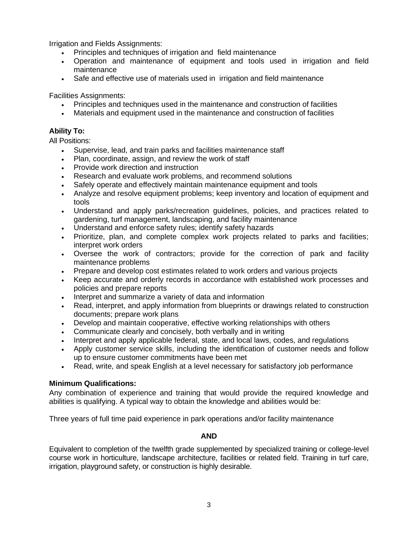Irrigation and Fields Assignments:

- Principles and techniques of irrigation and field maintenance
- Operation and maintenance of equipment and tools used in irrigation and field maintenance
- Safe and effective use of materials used in irrigation and field maintenance

Facilities Assignments:

- Principles and techniques used in the maintenance and construction of facilities
- Materials and equipment used in the maintenance and construction of facilities

# **Ability To:**

All Positions:

- Supervise, lead, and train parks and facilities maintenance staff
- Plan, coordinate, assign, and review the work of staff
- Provide work direction and instruction
- Research and evaluate work problems, and recommend solutions
- Safely operate and effectively maintain maintenance equipment and tools
- Analyze and resolve equipment problems; keep inventory and location of equipment and tools
- Understand and apply parks/recreation guidelines, policies, and practices related to gardening, turf management, landscaping, and facility maintenance
- Understand and enforce safety rules; identify safety hazards
- Prioritize, plan, and complete complex work projects related to parks and facilities; interpret work orders
- Oversee the work of contractors; provide for the correction of park and facility maintenance problems
- Prepare and develop cost estimates related to work orders and various projects
- Keep accurate and orderly records in accordance with established work processes and policies and prepare reports
- Interpret and summarize a variety of data and information
- Read, interpret, and apply information from blueprints or drawings related to construction documents; prepare work plans
- Develop and maintain cooperative, effective working relationships with others
- Communicate clearly and concisely, both verbally and in writing
- Interpret and apply applicable federal, state, and local laws, codes, and regulations
- Apply customer service skills, including the identification of customer needs and follow up to ensure customer commitments have been met
- Read, write, and speak English at a level necessary for satisfactory job performance

### **Minimum Qualifications:**

Any combination of experience and training that would provide the required knowledge and abilities is qualifying. A typical way to obtain the knowledge and abilities would be:

Three years of full time paid experience in park operations and/or facility maintenance

#### **AND**

Equivalent to completion of the twelfth grade supplemented by specialized training or college-level course work in horticulture, landscape architecture, facilities or related field. Training in turf care, irrigation, playground safety, or construction is highly desirable.